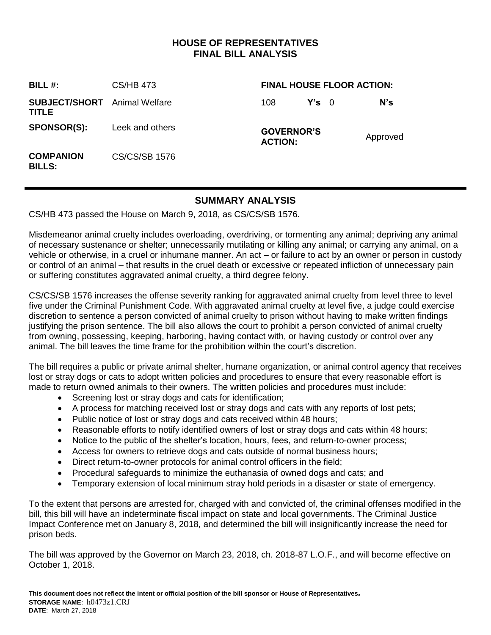# **HOUSE OF REPRESENTATIVES FINAL BILL ANALYSIS**

| BILL $#$ :                                    | CS/HB 473            | <b>FINAL HOUSE FLOOR ACTION:</b>    |               |  |          |
|-----------------------------------------------|----------------------|-------------------------------------|---------------|--|----------|
| <b>SUBJECT/SHORT</b> Animal Welfare<br>TITLE. |                      | 108                                 | $Y's \quad 0$ |  | N's      |
| <b>SPONSOR(S):</b>                            | Leek and others      | <b>GOVERNOR'S</b><br><b>ACTION:</b> |               |  | Approved |
| <b>COMPANION</b><br><b>BILLS:</b>             | <b>CS/CS/SB 1576</b> |                                     |               |  |          |

# **SUMMARY ANALYSIS**

CS/HB 473 passed the House on March 9, 2018, as CS/CS/SB 1576.

Misdemeanor animal cruelty includes overloading, overdriving, or tormenting any animal; depriving any animal of necessary sustenance or shelter; unnecessarily mutilating or killing any animal; or carrying any animal, on a vehicle or otherwise, in a cruel or inhumane manner. An act – or failure to act by an owner or person in custody or control of an animal – that results in the cruel death or excessive or repeated infliction of unnecessary pain or suffering constitutes aggravated animal cruelty, a third degree felony.

CS/CS/SB 1576 increases the offense severity ranking for aggravated animal cruelty from level three to level five under the Criminal Punishment Code. With aggravated animal cruelty at level five, a judge could exercise discretion to sentence a person convicted of animal cruelty to prison without having to make written findings justifying the prison sentence. The bill also allows the court to prohibit a person convicted of animal cruelty from owning, possessing, keeping, harboring, having contact with, or having custody or control over any animal. The bill leaves the time frame for the prohibition within the court's discretion.

The bill requires a public or private animal shelter, humane organization, or animal control agency that receives lost or stray dogs or cats to adopt written policies and procedures to ensure that every reasonable effort is made to return owned animals to their owners. The written policies and procedures must include:

- Screening lost or stray dogs and cats for identification;
- A process for matching received lost or stray dogs and cats with any reports of lost pets;
- Public notice of lost or stray dogs and cats received within 48 hours;
- Reasonable efforts to notify identified owners of lost or stray dogs and cats within 48 hours;
- Notice to the public of the shelter's location, hours, fees, and return-to-owner process;
- Access for owners to retrieve dogs and cats outside of normal business hours;
- Direct return-to-owner protocols for animal control officers in the field;
- Procedural safeguards to minimize the euthanasia of owned dogs and cats; and
- Temporary extension of local minimum stray hold periods in a disaster or state of emergency.

To the extent that persons are arrested for, charged with and convicted of, the criminal offenses modified in the bill, this bill will have an indeterminate fiscal impact on state and local governments. The Criminal Justice Impact Conference met on January 8, 2018, and determined the bill will insignificantly increase the need for prison beds.

The bill was approved by the Governor on March 23, 2018, ch. 2018-87 L.O.F., and will become effective on October 1, 2018.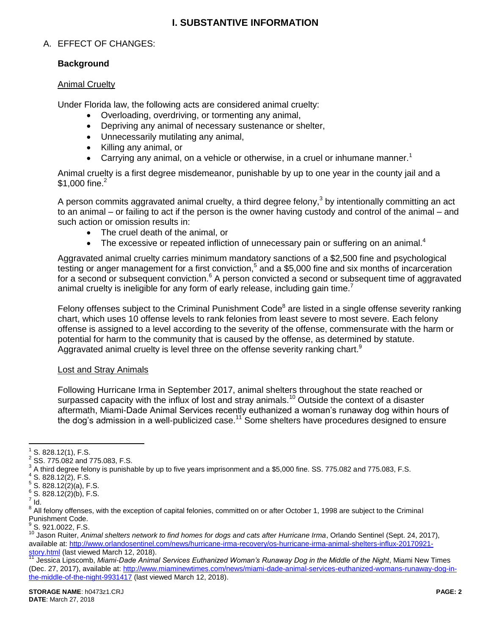# **I. SUBSTANTIVE INFORMATION**

### A. EFFECT OF CHANGES:

### **Background**

#### Animal Cruelty

Under Florida law, the following acts are considered animal cruelty:

- Overloading, overdriving, or tormenting any animal,
- Depriving any animal of necessary sustenance or shelter,
- Unnecessarily mutilating any animal,
- Killing any animal, or
- **Carrying any animal, on a vehicle or otherwise, in a cruel or inhumane manner.**<sup>1</sup>

Animal cruelty is a first degree misdemeanor, punishable by up to one year in the county jail and a \$1,000 fine. $^{2}$ 

A person commits aggravated animal cruelty, a third degree felony,<sup>3</sup> by intentionally committing an act to an animal – or failing to act if the person is the owner having custody and control of the animal – and such action or omission results in:

- The cruel death of the animal, or
- $\bullet$  The excessive or repeated infliction of unnecessary pain or suffering on an animal.<sup>4</sup>

Aggravated animal cruelty carries minimum mandatory sanctions of a \$2,500 fine and psychological testing or anger management for a first conviction,<sup>5</sup> and a \$5,000 fine and six months of incarceration for a second or subsequent conviction.<sup>6</sup> A person convicted a second or subsequent time of aggravated animal cruelty is ineligible for any form of early release, including gain time.<sup>7</sup>

Felony offenses subject to the Criminal Punishment Code<sup>8</sup> are listed in a single offense severity ranking chart, which uses 10 offense levels to rank felonies from least severe to most severe. Each felony offense is assigned to a level according to the severity of the offense, commensurate with the harm or potential for harm to the community that is caused by the offense, as determined by statute. Agaravated animal cruelty is level three on the offense severity ranking chart.<sup>9</sup>

#### Lost and Stray Animals

Following Hurricane Irma in September 2017, animal shelters throughout the state reached or surpassed capacity with the influx of lost and stray animals.<sup>10</sup> Outside the context of a disaster aftermath, Miami-Dade Animal Services recently euthanized a woman's runaway dog within hours of the dog's admission in a well-publicized case.<sup>11</sup> Some shelters have procedures designed to ensure

 $\overline{a}$ 1 S. 828.12(1), F.S.

 $^{2}$  SS. 775.082 and 775.083, F.S.

 $^3$  A third degree felony is punishable by up to five years imprisonment and a \$5,000 fine. SS. 775.082 and 775.083, F.S.

 $4$  S. 828.12(2), F.S.

 $5^5$  S. 828.12(2)(a), F.S.

 $6$  S. 828.12(2)(b), F.S.

 $^7$  Id.

<sup>&</sup>lt;sup>8</sup> All felony offenses, with the exception of capital felonies, committed on or after October 1, 1998 are subject to the Criminal Punishment Code.

 $\frac{9}{5}$  S. 921.0022, F.S.

<sup>10</sup> Jason Ruiter, *Animal shelters network to find homes for dogs and cats after Hurricane Irma*, Orlando Sentinel (Sept. 24, 2017), available at[: http://www.orlandosentinel.com/news/hurricane-irma-recovery/os-hurricane-irma-animal-shelters-influx-20170921](http://www.orlandosentinel.com/news/hurricane-irma-recovery/os-hurricane-irma-animal-shelters-influx-20170921-story.html) [story.html](http://www.orlandosentinel.com/news/hurricane-irma-recovery/os-hurricane-irma-animal-shelters-influx-20170921-story.html) (last viewed March 12, 2018).

<sup>11</sup> Jessica Lipscomb, *Miami-Dade Animal Services Euthanized Woman's Runaway Dog in the Middle of the Night*, Miami New Times (Dec. 27, 2017), available at[: http://www.miaminewtimes.com/news/miami-dade-animal-services-euthanized-womans-runaway-dog-in](http://www.miaminewtimes.com/news/miami-dade-animal-services-euthanized-womans-runaway-dog-in-the-middle-of-the-night-9931417)[the-middle-of-the-night-9931417](http://www.miaminewtimes.com/news/miami-dade-animal-services-euthanized-womans-runaway-dog-in-the-middle-of-the-night-9931417) (last viewed March 12, 2018).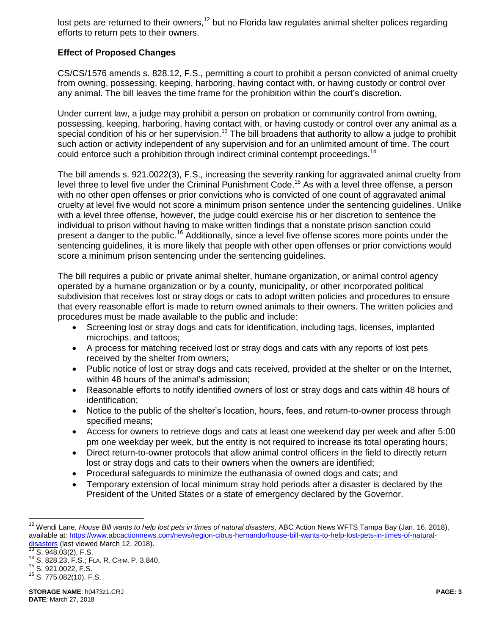lost pets are returned to their owners,<sup>12</sup> but no Florida law regulates animal shelter polices regarding efforts to return pets to their owners.

### **Effect of Proposed Changes**

CS/CS/1576 amends s. 828.12, F.S., permitting a court to prohibit a person convicted of animal cruelty from owning, possessing, keeping, harboring, having contact with, or having custody or control over any animal. The bill leaves the time frame for the prohibition within the court's discretion.

Under current law, a judge may prohibit a person on probation or community control from owning, possessing, keeping, harboring, having contact with, or having custody or control over any animal as a special condition of his or her supervision.<sup>13</sup> The bill broadens that authority to allow a judge to prohibit such action or activity independent of any supervision and for an unlimited amount of time. The court could enforce such a prohibition through indirect criminal contempt proceedings.<sup>14</sup>

The bill amends s. 921.0022(3), F.S., increasing the severity ranking for aggravated animal cruelty from level three to level five under the Criminal Punishment Code.<sup>15</sup> As with a level three offense, a person with no other open offenses or prior convictions who is convicted of one count of aggravated animal cruelty at level five would not score a minimum prison sentence under the sentencing guidelines. Unlike with a level three offense, however, the judge could exercise his or her discretion to sentence the individual to prison without having to make written findings that a nonstate prison sanction could present a danger to the public.<sup>16</sup> Additionally, since a level five offense scores more points under the sentencing guidelines, it is more likely that people with other open offenses or prior convictions would score a minimum prison sentencing under the sentencing guidelines.

The bill requires a public or private animal shelter, humane organization, or animal control agency operated by a humane organization or by a county, municipality, or other incorporated political subdivision that receives lost or stray dogs or cats to adopt written policies and procedures to ensure that every reasonable effort is made to return owned animals to their owners. The written policies and procedures must be made available to the public and include:

- Screening lost or stray dogs and cats for identification, including tags, licenses, implanted microchips, and tattoos;
- A process for matching received lost or stray dogs and cats with any reports of lost pets received by the shelter from owners;
- Public notice of lost or stray dogs and cats received, provided at the shelter or on the Internet, within 48 hours of the animal's admission;
- Reasonable efforts to notify identified owners of lost or stray dogs and cats within 48 hours of identification;
- Notice to the public of the shelter's location, hours, fees, and return-to-owner process through specified means;
- Access for owners to retrieve dogs and cats at least one weekend day per week and after 5:00 pm one weekday per week, but the entity is not required to increase its total operating hours;
- Direct return-to-owner protocols that allow animal control officers in the field to directly return lost or stray dogs and cats to their owners when the owners are identified;
- Procedural safeguards to minimize the euthanasia of owned dogs and cats; and
- Temporary extension of local minimum stray hold periods after a disaster is declared by the President of the United States or a state of emergency declared by the Governor.

 $\overline{a}$ 

<sup>12</sup> Wendi Lane, *House Bill wants to help lost pets in times of natural disasters*, ABC Action News WFTS Tampa Bay (Jan. 16, 2018), available at[: https://www.abcactionnews.com/news/region-citrus-hernando/house-bill-wants-to-help-lost-pets-in-times-of-natural](https://www.abcactionnews.com/news/region-citrus-hernando/house-bill-wants-to-help-lost-pets-in-times-of-natural-disasters)[disasters](https://www.abcactionnews.com/news/region-citrus-hernando/house-bill-wants-to-help-lost-pets-in-times-of-natural-disasters) (last viewed March 12, 2018).

 $5.948.03(2)$ , F.S.

<sup>14</sup> S. 828.23, F.S.; FLA. R. CRIM. P. 3.840.

<sup>15</sup> S. 921.0022, F.S.

 $16$  S. 775.082(10), F.S.